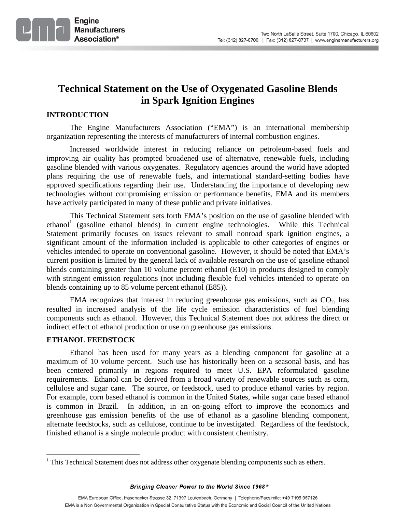

# **Technical Statement on the Use of Oxygenated Gasoline Blends in Spark Ignition Engines**

# **INTRODUCTION**

The Engine Manufacturers Association ("EMA") is an international membership organization representing the interests of manufacturers of internal combustion engines.

Increased worldwide interest in reducing reliance on petroleum-based fuels and improving air quality has prompted broadened use of alternative, renewable fuels, including gasoline blended with various oxygenates. Regulatory agencies around the world have adopted plans requiring the use of renewable fuels, and international standard-setting bodies have approved specifications regarding their use. Understanding the importance of developing new technologies without compromising emission or performance benefits, EMA and its members have actively participated in many of these public and private initiatives.

This Technical Statement sets forth EMA's position on the use of gasoline blended with  $ethanol<sup>1</sup>$  (gasoline ethanol blends) in current engine technologies. While this Technical Statement primarily focuses on issues relevant to small nonroad spark ignition engines, a significant amount of the information included is applicable to other categories of engines or vehicles intended to operate on conventional gasoline. However, it should be noted that EMA's current position is limited by the general lack of available research on the use of gasoline ethanol blends containing greater than 10 volume percent ethanol (E10) in products designed to comply with stringent emission regulations (not including flexible fuel vehicles intended to operate on blends containing up to 85 volume percent ethanol (E85)).

EMA recognizes that interest in reducing greenhouse gas emissions, such as  $CO<sub>2</sub>$ , has resulted in increased analysis of the life cycle emission characteristics of fuel blending components such as ethanol. However, this Technical Statement does not address the direct or indirect effect of ethanol production or use on greenhouse gas emissions.

# **ETHANOL FEEDSTOCK**

<u>.</u>

Ethanol has been used for many years as a blending component for gasoline at a maximum of 10 volume percent. Such use has historically been on a seasonal basis, and has been centered primarily in regions required to meet U.S. EPA reformulated gasoline requirements. Ethanol can be derived from a broad variety of renewable sources such as corn, cellulose and sugar cane. The source, or feedstock, used to produce ethanol varies by region. For example, corn based ethanol is common in the United States, while sugar cane based ethanol is common in Brazil. In addition, in an on-going effort to improve the economics and greenhouse gas emission benefits of the use of ethanol as a gasoline blending component, alternate feedstocks, such as cellulose, continue to be investigated. Regardless of the feedstock, finished ethanol is a single molecule product with consistent chemistry.

 $<sup>1</sup>$  This Technical Statement does not address other oxygenate blending components such as ethers.</sup>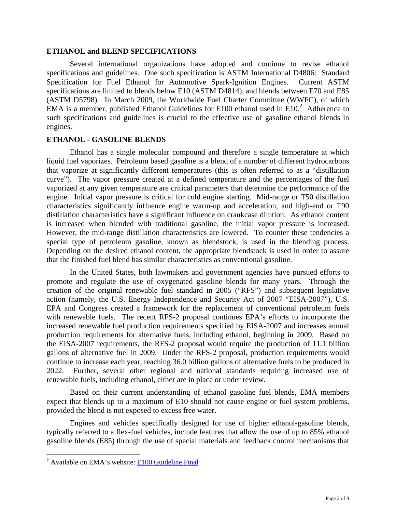## **ETHANOL and BLEND SPECIFICATIONS**

Several international organizations have adopted and continue to revise ethanol specifications and guidelines. One such specification is ASTM International D4806: Standard Specification for Fuel Ethanol for Automotive Spark-Ignition Engines. Current ASTM specifications are limited to blends below E10 (ASTM D4814), and blends between E70 and E85 (ASTM D5798). In March 2009, the Worldwide Fuel Charter Committee (WWFC), of which EMA is a member, published Ethanol Guidelines for E100 ethanol used in E10. $^2$  Adherence to such specifications and guidelines is crucial to the effective use of gasoline ethanol blends in engines.

## **ETHANOL - GASOLINE BLENDS**

Ethanol has a single molecular compound and therefore a single temperature at which liquid fuel vaporizes. Petroleum based gasoline is a blend of a number of different hydrocarbons that vaporize at significantly different temperatures (this is often referred to as a "distillation curve"). The vapor pressure created at a defined temperature and the percentages of the fuel vaporized at any given temperature are critical parameters that determine the performance of the engine. Initial vapor pressure is critical for cold engine starting. Mid-range or T50 distillation characteristics significantly influence engine warm-up and acceleration, and high-end or T90 distillation characteristics have a significant influence on crankcase dilution. As ethanol content is increased when blended with traditional gasoline, the initial vapor pressure is increased. However, the mid-range distillation characteristics are lowered. To counter these tendencies a special type of petroleum gasoline, known as blendstock, is used in the blending process. Depending on the desired ethanol content, the appropriate blendstock is used in order to assure that the finished fuel blend has similar characteristics as conventional gasoline.

In the United States, both lawmakers and government agencies have pursued efforts to promote and regulate the use of oxygenated gasoline blends for many years. Through the creation of the original renewable fuel standard in 2005 ("RFS") and subsequent legislative action (namely, the U.S. Energy Independence and Security Act of 2007 "EISA-2007"), U.S. EPA and Congress created a framework for the replacement of conventional petroleum fuels with renewable fuels. The recent RFS-2 proposal continues EPA's efforts to incorporate the increased renewable fuel production requirements specified by EISA-2007 and increases annual production requirements for alternative fuels, including ethanol, beginning in 2009. Based on the EISA-2007 requirements, the RFS-2 proposal would require the production of 11.1 billion gallons of alternative fuel in 2009. Under the RFS-2 proposal, production requirements would continue to increase each year, reaching 36.0 billion gallons of alternative fuels to be produced in 2022. Further, several other regional and national standards requiring increased use of renewable fuels, including ethanol, either are in place or under review.

Based on their current understanding of ethanol gasoline fuel blends, EMA members expect that blends up to a maximum of E10 should not cause engine or fuel system problems, provided the blend is not exposed to excess free water.

Engines and vehicles specifically designed for use of higher ethanol-gasoline blends, typically referred to a flex-fuel vehicles, include features that allow the use of up to 85% ethanol gasoline blends (E85) through the use of special materials and feedback control mechanisms that

 $\overline{a}$ 

 $2^{2}$  Available on EMA's website:  $E100$  Guideline Final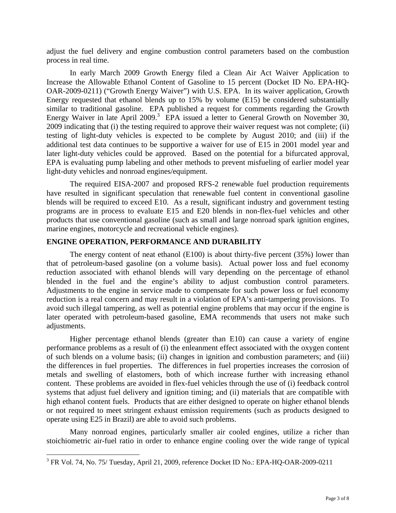adjust the fuel delivery and engine combustion control parameters based on the combustion process in real time.

In early March 2009 Growth Energy filed a Clean Air Act Waiver Application to Increase the Allowable Ethanol Content of Gasoline to 15 percent (Docket ID No. EPA-HQ-OAR-2009-0211) ("Growth Energy Waiver") with U.S. EPA. In its waiver application, Growth Energy requested that ethanol blends up to 15% by volume (E15) be considered substantially similar to traditional gasoline. EPA published a request for comments regarding the Growth Energy Waiver in late April 2009.<sup>3</sup> EPA issued a letter to General Growth on November 30, 2009 indicating that (i) the testing required to approve their waiver request was not complete; (ii) testing of light-duty vehicles is expected to be complete by August 2010; and (iii) if the additional test data continues to be supportive a waiver for use of E15 in 2001 model year and later light-duty vehicles could be approved. Based on the potential for a bifurcated approval, EPA is evaluating pump labeling and other methods to prevent misfueling of earlier model year light-duty vehicles and nonroad engines/equipment.

The required EISA-2007 and proposed RFS-2 renewable fuel production requirements have resulted in significant speculation that renewable fuel content in conventional gasoline blends will be required to exceed E10. As a result, significant industry and government testing programs are in process to evaluate E15 and E20 blends in non-flex-fuel vehicles and other products that use conventional gasoline (such as small and large nonroad spark ignition engines, marine engines, motorcycle and recreational vehicle engines).

# **ENGINE OPERATION, PERFORMANCE AND DURABILITY**

The energy content of neat ethanol (E100) is about thirty-five percent (35%) lower than that of petroleum-based gasoline (on a volume basis). Actual power loss and fuel economy reduction associated with ethanol blends will vary depending on the percentage of ethanol blended in the fuel and the engine's ability to adjust combustion control parameters. Adjustments to the engine in service made to compensate for such power loss or fuel economy reduction is a real concern and may result in a violation of EPA's anti-tampering provisions. To avoid such illegal tampering, as well as potential engine problems that may occur if the engine is later operated with petroleum-based gasoline, EMA recommends that users not make such adjustments.

Higher percentage ethanol blends (greater than E10) can cause a variety of engine performance problems as a result of (i) the enleanment effect associated with the oxygen content of such blends on a volume basis; (ii) changes in ignition and combustion parameters; and (iii) the differences in fuel properties. The differences in fuel properties increases the corrosion of metals and swelling of elastomers, both of which increase further with increasing ethanol content. These problems are avoided in flex-fuel vehicles through the use of (i) feedback control systems that adjust fuel delivery and ignition timing; and (ii) materials that are compatible with high ethanol content fuels. Products that are either designed to operate on higher ethanol blends or not required to meet stringent exhaust emission requirements (such as products designed to operate using E25 in Brazil) are able to avoid such problems.

Many nonroad engines, particularly smaller air cooled engines, utilize a richer than stoichiometric air-fuel ratio in order to enhance engine cooling over the wide range of typical

 $\overline{a}$ 

 $3$  FR Vol. 74, No. 75/ Tuesday, April 21, 2009, reference Docket ID No.: EPA-HQ-OAR-2009-0211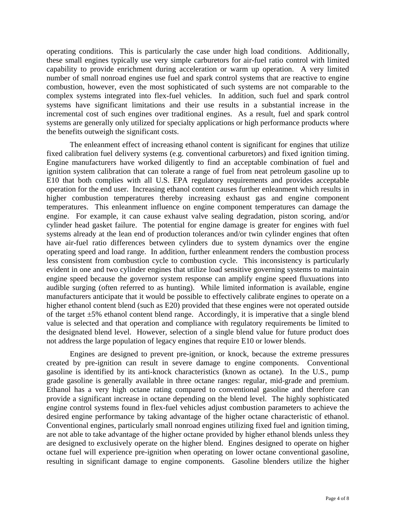operating conditions. This is particularly the case under high load conditions. Additionally, these small engines typically use very simple carburetors for air-fuel ratio control with limited capability to provide enrichment during acceleration or warm up operation. A very limited number of small nonroad engines use fuel and spark control systems that are reactive to engine combustion, however, even the most sophisticated of such systems are not comparable to the complex systems integrated into flex-fuel vehicles. In addition, such fuel and spark control systems have significant limitations and their use results in a substantial increase in the incremental cost of such engines over traditional engines. As a result, fuel and spark control systems are generally only utilized for specialty applications or high performance products where the benefits outweigh the significant costs.

The enleanment effect of increasing ethanol content is significant for engines that utilize fixed calibration fuel delivery systems (e.g. conventional carburetors) and fixed ignition timing. Engine manufacturers have worked diligently to find an acceptable combination of fuel and ignition system calibration that can tolerate a range of fuel from neat petroleum gasoline up to E10 that both complies with all U.S. EPA regulatory requirements and provides acceptable operation for the end user. Increasing ethanol content causes further enleanment which results in higher combustion temperatures thereby increasing exhaust gas and engine component temperatures. This enleanment influence on engine component temperatures can damage the engine. For example, it can cause exhaust valve sealing degradation, piston scoring, and/or cylinder head gasket failure. The potential for engine damage is greater for engines with fuel systems already at the lean end of production tolerances and/or twin cylinder engines that often have air-fuel ratio differences between cylinders due to system dynamics over the engine operating speed and load range. In addition, further enleanment renders the combustion process less consistent from combustion cycle to combustion cycle. This inconsistency is particularly evident in one and two cylinder engines that utilize load sensitive governing systems to maintain engine speed because the governor system response can amplify engine speed fluxuations into audible surging (often referred to as hunting). While limited information is available, engine manufacturers anticipate that it would be possible to effectively calibrate engines to operate on a higher ethanol content blend (such as E20) provided that these engines were not operated outside of the target  $\pm 5\%$  ethanol content blend range. Accordingly, it is imperative that a single blend value is selected and that operation and compliance with regulatory requirements be limited to the designated blend level. However, selection of a single blend value for future product does not address the large population of legacy engines that require E10 or lower blends.

Engines are designed to prevent pre-ignition, or knock, because the extreme pressures created by pre-ignition can result in severe damage to engine components. Conventional gasoline is identified by its anti-knock characteristics (known as octane). In the U.S., pump grade gasoline is generally available in three octane ranges: regular, mid-grade and premium. Ethanol has a very high octane rating compared to conventional gasoline and therefore can provide a significant increase in octane depending on the blend level. The highly sophisticated engine control systems found in flex-fuel vehicles adjust combustion parameters to achieve the desired engine performance by taking advantage of the higher octane characteristic of ethanol. Conventional engines, particularly small nonroad engines utilizing fixed fuel and ignition timing, are not able to take advantage of the higher octane provided by higher ethanol blends unless they are designed to exclusively operate on the higher blend. Engines designed to operate on higher octane fuel will experience pre-ignition when operating on lower octane conventional gasoline, resulting in significant damage to engine components. Gasoline blenders utilize the higher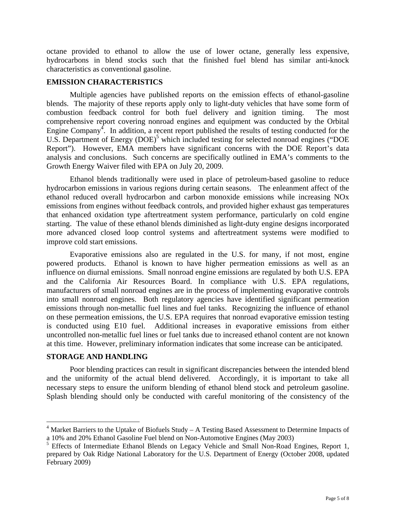octane provided to ethanol to allow the use of lower octane, generally less expensive, hydrocarbons in blend stocks such that the finished fuel blend has similar anti-knock characteristics as conventional gasoline.

# **EMISSION CHARACTERISTICS**

Multiple agencies have published reports on the emission effects of ethanol-gasoline blends. The majority of these reports apply only to light-duty vehicles that have some form of combustion feedback control for both fuel delivery and ignition timing. The most comprehensive report covering nonroad engines and equipment was conducted by the Orbital Engine Company<sup>4</sup>. In addition, a recent report published the results of testing conducted for the U.S. Department of Energy (DOE)<sup>5</sup> which included testing for selected nonroad engines ("DOE Report"). However, EMA members have significant concerns with the DOE Report's data analysis and conclusions. Such concerns are specifically outlined in EMA's comments to the Growth Energy Waiver filed with EPA on July 20, 2009.

Ethanol blends traditionally were used in place of petroleum-based gasoline to reduce hydrocarbon emissions in various regions during certain seasons. The enleanment affect of the ethanol reduced overall hydrocarbon and carbon monoxide emissions while increasing NOx emissions from engines without feedback controls, and provided higher exhaust gas temperatures that enhanced oxidation type aftertreatment system performance, particularly on cold engine starting. The value of these ethanol blends diminished as light-duty engine designs incorporated more advanced closed loop control systems and aftertreatment systems were modified to improve cold start emissions.

Evaporative emissions also are regulated in the U.S. for many, if not most, engine powered products. Ethanol is known to have higher permeation emissions as well as an influence on diurnal emissions. Small nonroad engine emissions are regulated by both U.S. EPA and the California Air Resources Board. In compliance with U.S. EPA regulations, manufacturers of small nonroad engines are in the process of implementing evaporative controls into small nonroad engines. Both regulatory agencies have identified significant permeation emissions through non-metallic fuel lines and fuel tanks. Recognizing the influence of ethanol on these permeation emissions, the U.S. EPA requires that nonroad evaporative emission testing is conducted using E10 fuel. Additional increases in evaporative emissions from either uncontrolled non-metallic fuel lines or fuel tanks due to increased ethanol content are not known at this time. However, preliminary information indicates that some increase can be anticipated.

# **STORAGE AND HANDLING**

 $\overline{a}$ 

Poor blending practices can result in significant discrepancies between the intended blend and the uniformity of the actual blend delivered. Accordingly, it is important to take all necessary steps to ensure the uniform blending of ethanol blend stock and petroleum gasoline. Splash blending should only be conducted with careful monitoring of the consistency of the

<sup>&</sup>lt;sup>4</sup> Market Barriers to the Uptake of Biofuels Study - A Testing Based Assessment to Determine Impacts of a 10% and 20% Ethanol Gasoline Fuel blend on Non-Automotive Engines (May 2003)

<sup>&</sup>lt;sup>5</sup> Effects of Intermediate Ethanol Blends on Legacy Vehicle and Small Non-Road Engines, Report 1, prepared by Oak Ridge National Laboratory for the U.S. Department of Energy (October 2008, updated February 2009)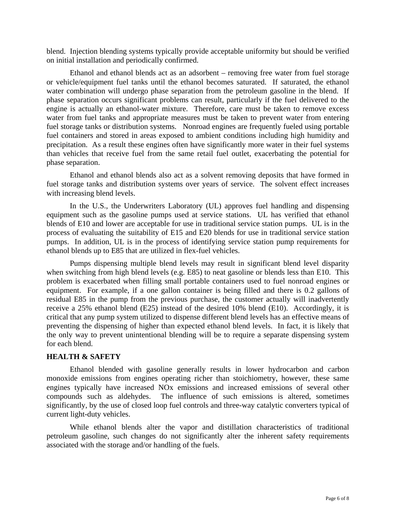blend. Injection blending systems typically provide acceptable uniformity but should be verified on initial installation and periodically confirmed.

Ethanol and ethanol blends act as an adsorbent – removing free water from fuel storage or vehicle/equipment fuel tanks until the ethanol becomes saturated. If saturated, the ethanol water combination will undergo phase separation from the petroleum gasoline in the blend. If phase separation occurs significant problems can result, particularly if the fuel delivered to the engine is actually an ethanol-water mixture. Therefore, care must be taken to remove excess water from fuel tanks and appropriate measures must be taken to prevent water from entering fuel storage tanks or distribution systems. Nonroad engines are frequently fueled using portable fuel containers and stored in areas exposed to ambient conditions including high humidity and precipitation. As a result these engines often have significantly more water in their fuel systems than vehicles that receive fuel from the same retail fuel outlet, exacerbating the potential for phase separation.

Ethanol and ethanol blends also act as a solvent removing deposits that have formed in fuel storage tanks and distribution systems over years of service. The solvent effect increases with increasing blend levels.

In the U.S., the Underwriters Laboratory (UL) approves fuel handling and dispensing equipment such as the gasoline pumps used at service stations. UL has verified that ethanol blends of E10 and lower are acceptable for use in traditional service station pumps. UL is in the process of evaluating the suitability of E15 and E20 blends for use in traditional service station pumps. In addition, UL is in the process of identifying service station pump requirements for ethanol blends up to E85 that are utilized in flex-fuel vehicles.

Pumps dispensing multiple blend levels may result in significant blend level disparity when switching from high blend levels (e.g. E85) to neat gasoline or blends less than E10. This problem is exacerbated when filling small portable containers used to fuel nonroad engines or equipment. For example, if a one gallon container is being filled and there is 0.2 gallons of residual E85 in the pump from the previous purchase, the customer actually will inadvertently receive a 25% ethanol blend (E25) instead of the desired 10% blend (E10). Accordingly, it is critical that any pump system utilized to dispense different blend levels has an effective means of preventing the dispensing of higher than expected ethanol blend levels. In fact, it is likely that the only way to prevent unintentional blending will be to require a separate dispensing system for each blend.

## **HEALTH & SAFETY**

Ethanol blended with gasoline generally results in lower hydrocarbon and carbon monoxide emissions from engines operating richer than stoichiometry, however, these same engines typically have increased NOx emissions and increased emissions of several other compounds such as aldehydes. The influence of such emissions is altered, sometimes significantly, by the use of closed loop fuel controls and three-way catalytic converters typical of current light-duty vehicles.

While ethanol blends alter the vapor and distillation characteristics of traditional petroleum gasoline, such changes do not significantly alter the inherent safety requirements associated with the storage and/or handling of the fuels.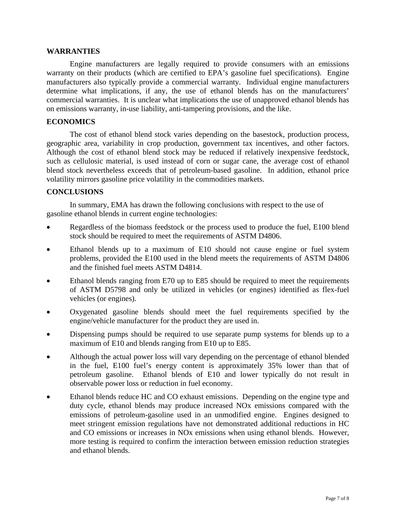## **WARRANTIES**

Engine manufacturers are legally required to provide consumers with an emissions warranty on their products (which are certified to EPA's gasoline fuel specifications). Engine manufacturers also typically provide a commercial warranty. Individual engine manufacturers determine what implications, if any, the use of ethanol blends has on the manufacturers' commercial warranties. It is unclear what implications the use of unapproved ethanol blends has on emissions warranty, in-use liability, anti-tampering provisions, and the like.

## **ECONOMICS**

The cost of ethanol blend stock varies depending on the basestock, production process, geographic area, variability in crop production, government tax incentives, and other factors. Although the cost of ethanol blend stock may be reduced if relatively inexpensive feedstock, such as cellulosic material, is used instead of corn or sugar cane, the average cost of ethanol blend stock nevertheless exceeds that of petroleum-based gasoline. In addition, ethanol price volatility mirrors gasoline price volatility in the commodities markets.

# **CONCLUSIONS**

In summary, EMA has drawn the following conclusions with respect to the use of gasoline ethanol blends in current engine technologies:

- Regardless of the biomass feedstock or the process used to produce the fuel, E100 blend stock should be required to meet the requirements of ASTM D4806.
- Ethanol blends up to a maximum of E10 should not cause engine or fuel system problems, provided the E100 used in the blend meets the requirements of ASTM D4806 and the finished fuel meets ASTM D4814.
- Ethanol blends ranging from E70 up to E85 should be required to meet the requirements of ASTM D5798 and only be utilized in vehicles (or engines) identified as flex-fuel vehicles (or engines).
- Oxygenated gasoline blends should meet the fuel requirements specified by the engine/vehicle manufacturer for the product they are used in.
- Dispensing pumps should be required to use separate pump systems for blends up to a maximum of E10 and blends ranging from E10 up to E85.
- Although the actual power loss will vary depending on the percentage of ethanol blended in the fuel, E100 fuel's energy content is approximately 35% lower than that of petroleum gasoline. Ethanol blends of E10 and lower typically do not result in observable power loss or reduction in fuel economy.
- Ethanol blends reduce HC and CO exhaust emissions. Depending on the engine type and duty cycle, ethanol blends may produce increased NOx emissions compared with the emissions of petroleum-gasoline used in an unmodified engine. Engines designed to meet stringent emission regulations have not demonstrated additional reductions in HC and CO emissions or increases in NOx emissions when using ethanol blends. However, more testing is required to confirm the interaction between emission reduction strategies and ethanol blends.